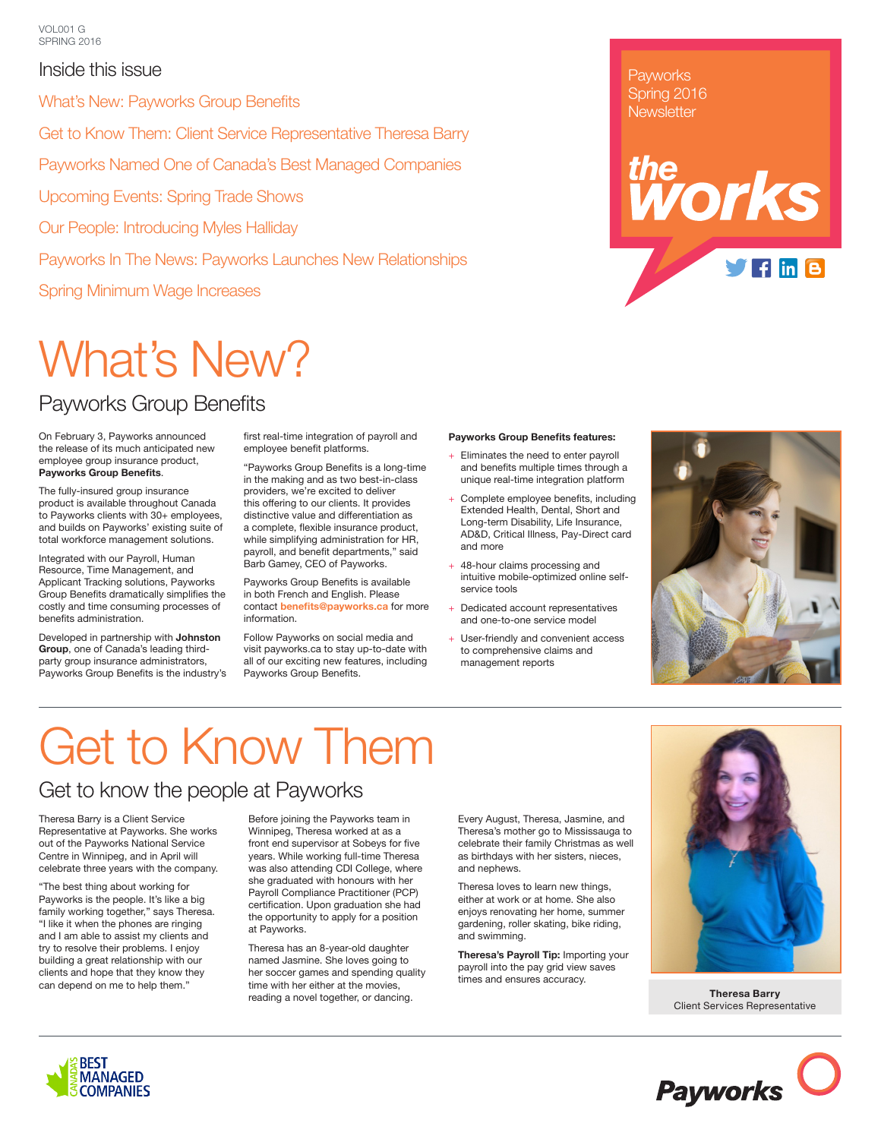### Inside this issue

What's New: Payworks Group Benefits

Get to Know Them: Client Service Representative Theresa Barry

Payworks Named One of Canada's Best Managed Companies

Upcoming Events: Spring Trade Shows

Our People: Introducing Myles Halliday

Payworks In The News: Payworks Launches New Relationships

Spring Minimum Wage Increases

## What's New?

## Payworks Group Benefits

On February 3, Payworks announced the release of its much anticipated new employee group insurance product, **Payworks Group Benefits**.

The fully-insured group insurance product is available throughout Canada to Payworks clients with 30+ employees, and builds on Payworks' existing suite of total workforce management solutions.

Integrated with our Payroll, Human Resource, Time Management, and Applicant Tracking solutions, Payworks Group Benefits dramatically simplifies the costly and time consuming processes of benefits administration.

Developed in partnership with **Johnston Group**, one of Canada's leading thirdparty group insurance administrators, Payworks Group Benefits is the industry's first real-time integration of payroll and employee benefit platforms.

"Payworks Group Benefits is a long-time in the making and as two best-in-class providers, we're excited to deliver this offering to our clients. It provides distinctive value and differentiation as a complete, flexible insurance product, while simplifying administration for HR, payroll, and benefit departments," said Barb Gamey, CEO of Payworks.

Payworks Group Benefits is available in both French and English. Please contact **benefits@payworks.ca** for more information.

Follow Payworks on social media and visit payworks.ca to stay up-to-date with all of our exciting new features, including Payworks Group Benefits.

#### **Payworks Group Benefits features:**

- + Eliminates the need to enter payroll and benefits multiple times through a unique real-time integration platform
- + Complete employee benefits, including Extended Health, Dental, Short and Long-term Disability, Life Insurance, AD&D, Critical Illness, Pay-Direct card and more
- + 48-hour claims processing and intuitive mobile-optimized online selfservice tools
- + Dedicated account representatives and one-to-one service model
- + User-friendly and convenient access to comprehensive claims and management reports







## Get to Know Them

## Get to know the people at Payworks

Theresa Barry is a Client Service Representative at Payworks. She works out of the Payworks National Service Centre in Winnipeg, and in April will celebrate three years with the company.

"The best thing about working for Payworks is the people. It's like a big family working together," says Theresa. "I like it when the phones are ringing and I am able to assist my clients and try to resolve their problems. I enjoy building a great relationship with our clients and hope that they know they can depend on me to help them."

Before joining the Payworks team in Winnipeg, Theresa worked at as a front end supervisor at Sobeys for five years. While working full-time Theresa was also attending CDI College, where she graduated with honours with her Payroll Compliance Practitioner (PCP) certification. Upon graduation she had the opportunity to apply for a position at Payworks.

Theresa has an 8-year-old daughter named Jasmine. She loves going to her soccer games and spending quality time with her either at the movies, reading a novel together, or dancing.

Every August, Theresa, Jasmine, and Theresa's mother go to Mississauga to celebrate their family Christmas as well as birthdays with her sisters, nieces, and nephews.

Theresa loves to learn new things, either at work or at home. She also enjoys renovating her home, summer gardening, roller skating, bike riding, and swimming.

**Theresa's Payroll Tip:** Importing your payroll into the pay grid view saves times and ensures accuracy.



**Theresa Barry** Client Services Representative



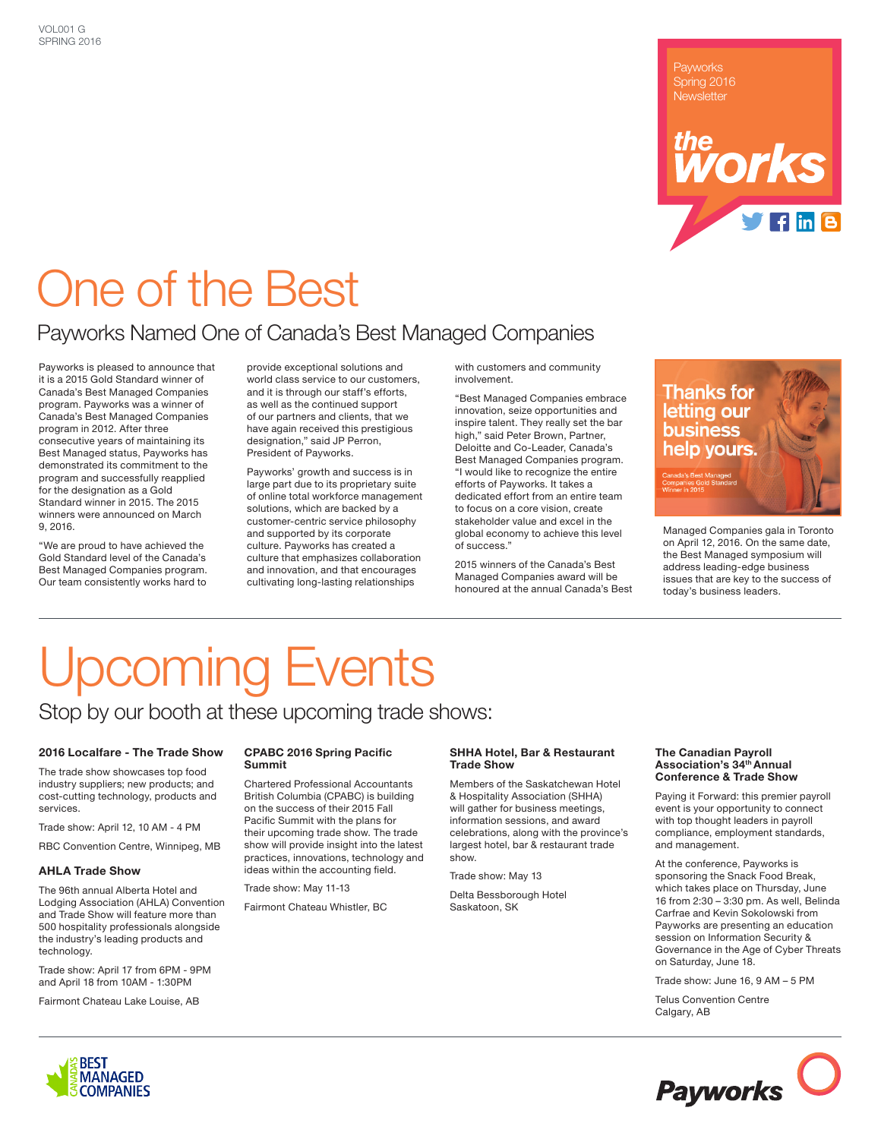Spring 2016 Newsletter

## *Morks*  $f$  in  $B$

## One of the Best

### Payworks Named One of Canada's Best Managed Companies

Payworks is pleased to announce that it is a 2015 Gold Standard winner of Canada's Best Managed Companies program. Payworks was a winner of Canada's Best Managed Companies program in 2012. After three consecutive years of maintaining its Best Managed status, Payworks has demonstrated its commitment to the program and successfully reapplied for the designation as a Gold Standard winner in 2015. The 2015 winners were announced on March 9, 2016.

"We are proud to have achieved the Gold Standard level of the Canada's Best Managed Companies program. Our team consistently works hard to

provide exceptional solutions and world class service to our customers, and it is through our staff's efforts. as well as the continued support of our partners and clients, that we have again received this prestigious designation," said JP Perron, President of Payworks.

Payworks' growth and success is in large part due to its proprietary suite of online total workforce management solutions, which are backed by a customer-centric service philosophy and supported by its corporate culture. Payworks has created a culture that emphasizes collaboration and innovation, and that encourages cultivating long-lasting relationships

with customers and community involvement.

"Best Managed Companies embrace innovation, seize opportunities and inspire talent. They really set the bar high," said Peter Brown, Partner, Deloitte and Co-Leader, Canada's Best Managed Companies program. "I would like to recognize the entire efforts of Payworks. It takes a dedicated effort from an entire team to focus on a core vision, create stakeholder value and excel in the global economy to achieve this level of success."

2015 winners of the Canada's Best Managed Companies award will be honoured at the annual Canada's Best



Managed Companies gala in Toronto on April 12, 2016. On the same date, the Best Managed symposium will address leading-edge business issues that are key to the success of today's business leaders.

# Upcoming Events

### Stop by our booth at these upcoming trade shows:

#### **2016 Localfare - The Trade Show**

The trade show showcases top food industry suppliers; new products; and cost-cutting technology, products and services.

Trade show: April 12, 10 AM - 4 PM

RBC Convention Centre, Winnipeg, MB

#### **AHLA Trade Show**

The 96th annual Alberta Hotel and Lodging Association (AHLA) Convention and Trade Show will feature more than 500 hospitality professionals alongside the industry's leading products and technology.

Trade show: April 17 from 6PM - 9PM and April 18 from 10AM - 1:30PM

Fairmont Chateau Lake Louise, AB

#### **CPABC 2016 Spring Pacific Summit**

Chartered Professional Accountants British Columbia (CPABC) is building on the success of their 2015 Fall Pacific Summit with the plans for their upcoming trade show. The trade show will provide insight into the latest practices, innovations, technology and ideas within the accounting field.

Trade show: May 11-13

Fairmont Chateau Whistler, BC

#### **SHHA Hotel, Bar & Restaurant Trade Show**

Members of the Saskatchewan Hotel & Hospitality Association (SHHA) will gather for business meetings, information sessions, and award celebrations, along with the province's largest hotel, bar & restaurant trade show.

Trade show: May 13

Delta Bessborough Hotel Saskatoon, SK

#### **The Canadian Payroll Association's 34th Annual Conference & Trade Show**

Paying it Forward: this premier payroll event is your opportunity to connect with top thought leaders in payroll compliance, employment standards, and management.

At the conference, Payworks is sponsoring the Snack Food Break, which takes place on Thursday, June 16 from 2:30 – 3:30 pm. As well, Belinda Carfrae and Kevin Sokolowski from Payworks are presenting an education session on Information Security & Governance in the Age of Cyber Threats on Saturday, June 18.

Trade show: June 16, 9 AM – 5 PM

Telus Convention Centre Calgary, AB